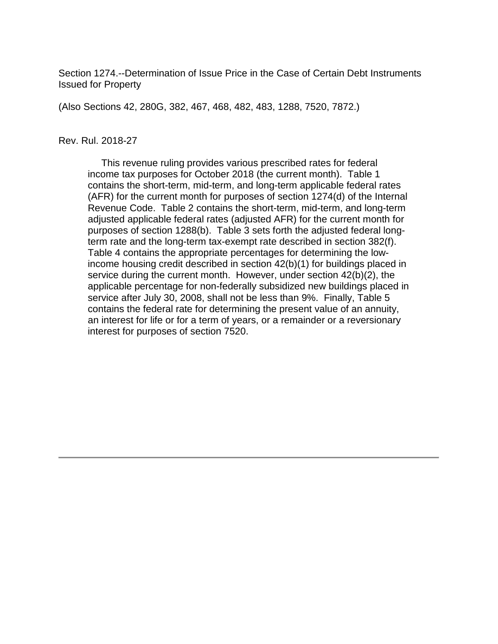Section 1274.--Determination of Issue Price in the Case of Certain Debt Instruments Issued for Property

(Also Sections 42, 280G, 382, 467, 468, 482, 483, 1288, 7520, 7872.)

#### Rev. Rul. 2018-27

 This revenue ruling provides various prescribed rates for federal income tax purposes for October 2018 (the current month). Table 1 contains the short-term, mid-term, and long-term applicable federal rates (AFR) for the current month for purposes of section 1274(d) of the Internal Revenue Code. Table 2 contains the short-term, mid-term, and long-term adjusted applicable federal rates (adjusted AFR) for the current month for purposes of section 1288(b). Table 3 sets forth the adjusted federal longterm rate and the long-term tax-exempt rate described in section 382(f). Table 4 contains the appropriate percentages for determining the lowincome housing credit described in section 42(b)(1) for buildings placed in service during the current month. However, under section 42(b)(2), the applicable percentage for non-federally subsidized new buildings placed in service after July 30, 2008, shall not be less than 9%. Finally, Table 5 contains the federal rate for determining the present value of an annuity, an interest for life or for a term of years, or a remainder or a reversionary interest for purposes of section 7520.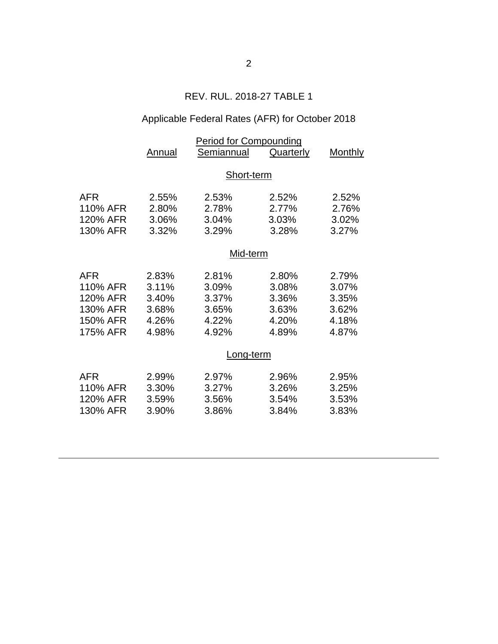## REV. RUL. 2018-27 TABLE 1

# Applicable Federal Rates (AFR) for October 2018

|          | <b>Period for Compounding</b> |            |           |                |  |  |  |
|----------|-------------------------------|------------|-----------|----------------|--|--|--|
|          | Annual                        | Semiannual | Quarterly | <b>Monthly</b> |  |  |  |
|          |                               |            |           |                |  |  |  |
|          | Short-term                    |            |           |                |  |  |  |
| AFR      | 2.55%                         | 2.53%      | 2.52%     | 2.52%          |  |  |  |
| 110% AFR | 2.80%                         | 2.78%      | 2.77%     | 2.76%          |  |  |  |
| 120% AFR | 3.06%                         | 3.04%      | 3.03%     | 3.02%          |  |  |  |
| 130% AFR | 3.32%                         | 3.29%      | 3.28%     | 3.27%          |  |  |  |
|          |                               |            |           |                |  |  |  |
|          | Mid-term                      |            |           |                |  |  |  |
| AFR      | 2.83%                         | 2.81%      | 2.80%     | 2.79%          |  |  |  |
| 110% AFR | 3.11%                         | 3.09%      | 3.08%     | 3.07%          |  |  |  |
| 120% AFR | 3.40%                         | 3.37%      | 3.36%     | 3.35%          |  |  |  |
| 130% AFR | 3.68%                         | 3.65%      | 3.63%     | 3.62%          |  |  |  |
| 150% AFR | 4.26%                         | 4.22%      | 4.20%     | 4.18%          |  |  |  |
| 175% AFR | 4.98%                         | 4.92%      | 4.89%     | 4.87%          |  |  |  |
|          | Long-term                     |            |           |                |  |  |  |
|          |                               |            |           |                |  |  |  |
| AFR      | 2.99%                         | 2.97%      | 2.96%     | 2.95%          |  |  |  |
| 110% AFR | 3.30%                         | 3.27%      | 3.26%     | 3.25%          |  |  |  |
| 120% AFR | 3.59%                         | 3.56%      | 3.54%     | 3.53%          |  |  |  |
| 130% AFR | 3.90%                         | 3.86%      | 3.84%     | 3.83%          |  |  |  |
|          |                               |            |           |                |  |  |  |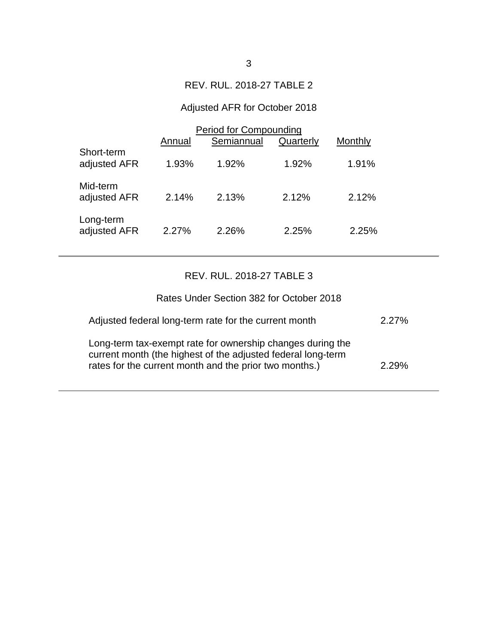### REV. RUL. 2018-27 TABLE 2

## Adjusted AFR for October 2018

|                            | Period for Compounding |            |           |         |  |  |
|----------------------------|------------------------|------------|-----------|---------|--|--|
|                            | Annual                 | Semiannual | Quarterly | Monthly |  |  |
| Short-term<br>adjusted AFR | 1.93%                  | $1.92\%$   | 1.92%     | 1.91%   |  |  |
| Mid-term<br>adjusted AFR   | 2.14%                  | 2.13%      | 2.12%     | 2.12%   |  |  |
| Long-term<br>adjusted AFR  | 2.27%                  | 2.26%      | 2.25%     | 2.25%   |  |  |

### REV. RUL. 2018-27 TABLE 3

| Rates Under Section 382 for October 2018                                                                                                                                             |          |
|--------------------------------------------------------------------------------------------------------------------------------------------------------------------------------------|----------|
| Adjusted federal long-term rate for the current month                                                                                                                                | $2.27\%$ |
| Long-term tax-exempt rate for ownership changes during the<br>current month (the highest of the adjusted federal long-term<br>rates for the current month and the prior two months.) | $2.29\%$ |